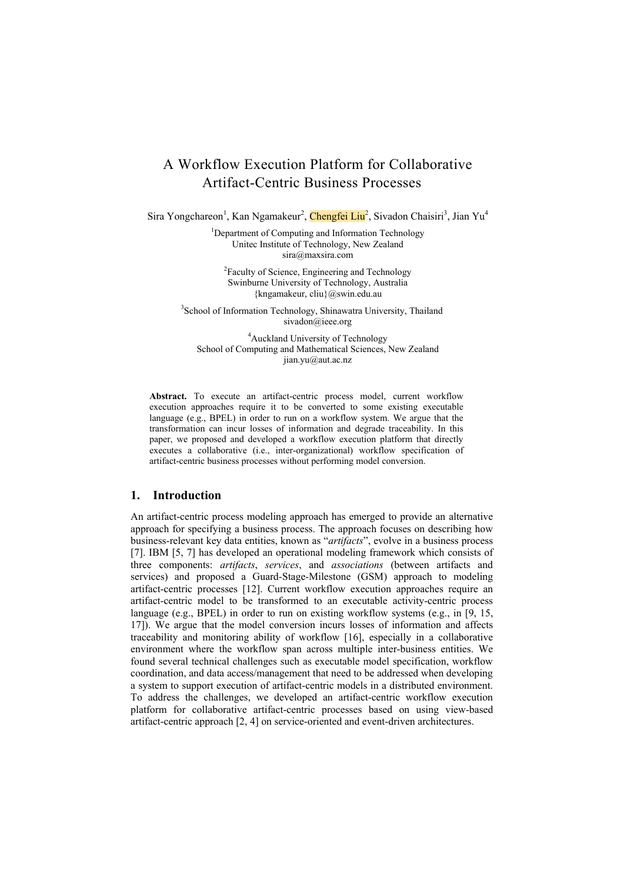# A Workflow Execution Platform for Collaborative Artifact-Centric Business Processes

Sira Yongchareon<sup>1</sup>, Kan Ngamakeur<sup>2</sup>, Chengfei Liu<sup>2</sup>, Sivadon Chaisiri<sup>3</sup>, Jian Yu<sup>4</sup>

<sup>1</sup>Department of Computing and Information Technology Unitec Institute of Technology, New Zealand sira@maxsira.com

2 Faculty of Science, Engineering and Technology Swinburne University of Technology, Australia {kngamakeur, cliu}@swin.edu.au

<sup>3</sup> School of Information Technology, Shinawatra University, Thailand sivadon@ieee.org

4 Auckland University of Technology School of Computing and Mathematical Sciences, New Zealand jian.yu@aut.ac.nz

**Abstract.** To execute an artifact-centric process model, current workflow execution approaches require it to be converted to some existing executable language (e.g., BPEL) in order to run on a workflow system. We argue that the transformation can incur losses of information and degrade traceability. In this paper, we proposed and developed a workflow execution platform that directly executes a collaborative (i.e., inter-organizational) workflow specification of artifact-centric business processes without performing model conversion.

## **1. Introduction**

An artifact-centric process modeling approach has emerged to provide an alternative approach for specifying a business process. The approach focuses on describing how business-relevant key data entities, known as "*artifacts*", evolve in a business process [7]. IBM [5, 7] has developed an operational modeling framework which consists of three components: *artifacts*, *services*, and *associations* (between artifacts and services) and proposed a Guard-Stage-Milestone (GSM) approach to modeling artifact-centric processes [12]. Current workflow execution approaches require an artifact-centric model to be transformed to an executable activity-centric process language (e.g., BPEL) in order to run on existing workflow systems (e.g., in [9, 15, 17]). We argue that the model conversion incurs losses of information and affects traceability and monitoring ability of workflow [16], especially in a collaborative environment where the workflow span across multiple inter-business entities. We found several technical challenges such as executable model specification, workflow coordination, and data access/management that need to be addressed when developing a system to support execution of artifact-centric models in a distributed environment. To address the challenges, we developed an artifact-centric workflow execution platform for collaborative artifact-centric processes based on using view-based artifact-centric approach [2, 4] on service-oriented and event-driven architectures.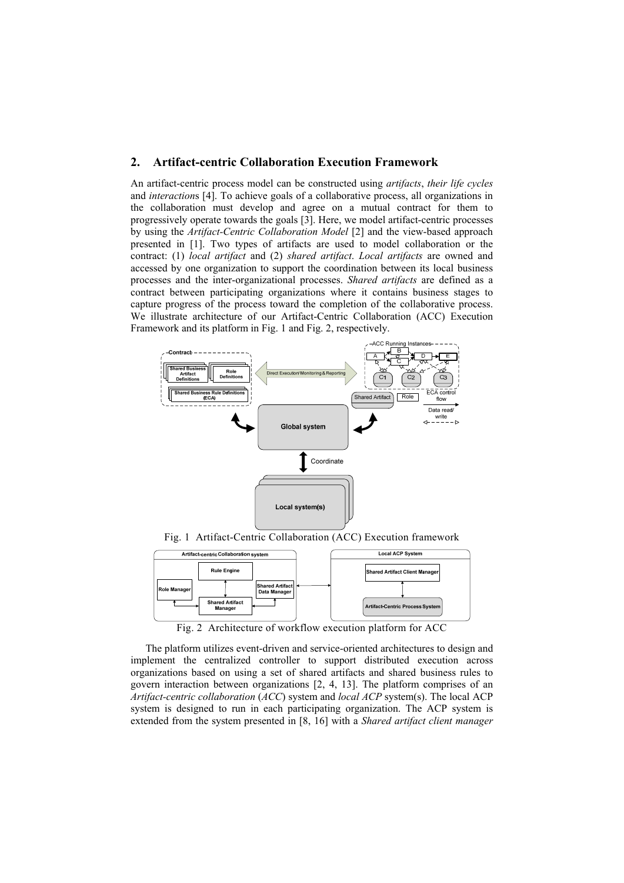#### **2. Artifact-centric Collaboration Execution Framework**

An artifact-centric process model can be constructed using *artifacts*, *their life cycles* and *interaction*s [4]. To achieve goals of a collaborative process, all organizations in the collaboration must develop and agree on a mutual contract for them to progressively operate towards the goals [3]. Here, we model artifact-centric processes by using the *Artifact-Centric Collaboration Model* [2] and the view-based approach presented in [1]. Two types of artifacts are used to model collaboration or the contract: (1) *local artifact* and (2) *shared artifact*. *Local artifacts* are owned and accessed by one organization to support the coordination between its local business processes and the inter-organizational processes. *Shared artifacts* are defined as a contract between participating organizations where it contains business stages to capture progress of the process toward the completion of the collaborative process. We illustrate architecture of our Artifact-Centric Collaboration (ACC) Execution Framework and its platform in Fig. 1 and Fig. 2, respectively.



Fig. 1 Artifact-Centric Collaboration (ACC) Execution framework



Fig. 2 Architecture of workflow execution platform for ACC

The platform utilizes event-driven and service-oriented architectures to design and implement the centralized controller to support distributed execution across organizations based on using a set of shared artifacts and shared business rules to govern interaction between organizations [2, 4, 13]. The platform comprises of an *Artifact-centric collaboration* (*ACC*) system and *local ACP* system(s). The local ACP system is designed to run in each participating organization. The ACP system is extended from the system presented in [8, 16] with a *Shared artifact client manager*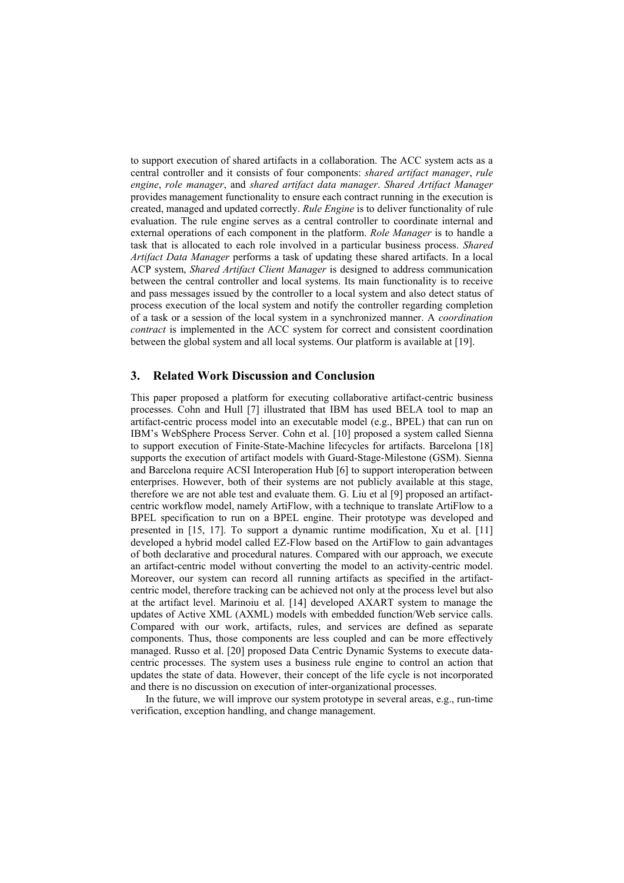to support execution of shared artifacts in a collaboration. The ACC system acts as a central controller and it consists of four components: *shared artifact manager*, *rule engine*, *role manager*, and *shared artifact data manager*. *Shared Artifact Manager* provides management functionality to ensure each contract running in the execution is created, managed and updated correctly. *Rule Engine* is to deliver functionality of rule evaluation. The rule engine serves as a central controller to coordinate internal and external operations of each component in the platform. *Role Manager* is to handle a task that is allocated to each role involved in a particular business process. *Shared Artifact Data Manager* performs a task of updating these shared artifacts. In a local ACP system, *Shared Artifact Client Manager* is designed to address communication between the central controller and local systems. Its main functionality is to receive and pass messages issued by the controller to a local system and also detect status of process execution of the local system and notify the controller regarding completion of a task or a session of the local system in a synchronized manner. A *coordination contract* is implemented in the ACC system for correct and consistent coordination between the global system and all local systems. Our platform is available at [19].

## **3. Related Work Discussion and Conclusion**

This paper proposed a platform for executing collaborative artifact-centric business processes. Cohn and Hull [7] illustrated that IBM has used BELA tool to map an artifact-centric process model into an executable model (e.g., BPEL) that can run on IBM's WebSphere Process Server. Cohn et al. [10] proposed a system called Sienna to support execution of Finite-State-Machine lifecycles for artifacts. Barcelona [18] supports the execution of artifact models with Guard-Stage-Milestone (GSM). Sienna and Barcelona require ACSI Interoperation Hub [6] to support interoperation between enterprises. However, both of their systems are not publicly available at this stage, therefore we are not able test and evaluate them. G. Liu et al [9] proposed an artifactcentric workflow model, namely ArtiFlow, with a technique to translate ArtiFlow to a BPEL specification to run on a BPEL engine. Their prototype was developed and presented in [15, 17]. To support a dynamic runtime modification, Xu et al. [11] developed a hybrid model called EZ-Flow based on the ArtiFlow to gain advantages of both declarative and procedural natures. Compared with our approach, we execute an artifact-centric model without converting the model to an activity-centric model. Moreover, our system can record all running artifacts as specified in the artifactcentric model, therefore tracking can be achieved not only at the process level but also at the artifact level. Marinoiu et al. [14] developed AXART system to manage the updates of Active XML (AXML) models with embedded function/Web service calls. Compared with our work, artifacts, rules, and services are defined as separate components. Thus, those components are less coupled and can be more effectively managed. Russo et al. [20] proposed Data Centric Dynamic Systems to execute datacentric processes. The system uses a business rule engine to control an action that updates the state of data. However, their concept of the life cycle is not incorporated and there is no discussion on execution of inter-organizational processes.

In the future, we will improve our system prototype in several areas, e.g., run-time verification, exception handling, and change management.